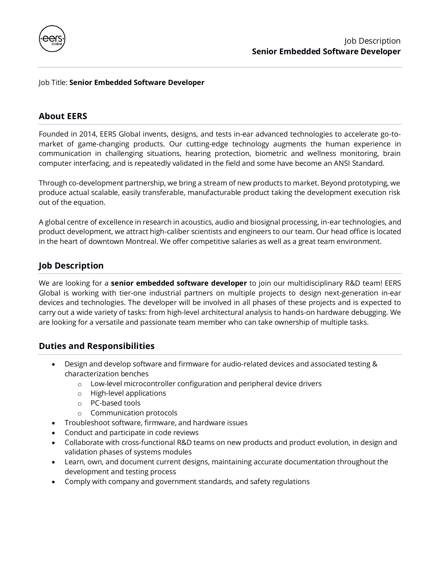

### Job Title: **Senior Embedded Software Developer**

## **About EERS**

Founded in 2014, EERS Global invents, designs, and tests in-ear advanced technologies to accelerate go-tomarket of game-changing products. Our cutting-edge technology augments the human experience in communication in challenging situations, hearing protection, biometric and wellness monitoring, brain computer interfacing, and is repeatedly validated in the field and some have become an ANSI Standard.

Through co-development partnership, we bring a stream of new products to market. Beyond prototyping, we produce actual scalable, easily transferable, manufacturable product taking the development execution risk out of the equation.

A global centre of excellence in research in acoustics, audio and biosignal processing, in-ear technologies, and product development, we attract high-caliber scientists and engineers to our team. Our head office is located in the heart of downtown Montreal. We offer competitive salaries as well as a great team environment.

# **Job Description**

We are looking for a **senior embedded software developer** to join our multidisciplinary R&D team! EERS Global is working with tier-one industrial partners on multiple projects to design next-generation in-ear devices and technologies. The developer will be involved in all phases of these projects and is expected to carry out a wide variety of tasks: from high-level architectural analysis to hands-on hardware debugging. We are looking for a versatile and passionate team member who can take ownership of multiple tasks.

### **Duties and Responsibilities**

- Design and develop software and firmware for audio-related devices and associated testing & characterization benches
	- o Low-level microcontroller configuration and peripheral device drivers
	- o High-level applications
	- o PC-based tools
	- o Communication protocols
- Troubleshoot software, firmware, and hardware issues
- Conduct and participate in code reviews
- Collaborate with cross-functional R&D teams on new products and product evolution, in design and validation phases of systems modules
- Learn, own, and document current designs, maintaining accurate documentation throughout the development and testing process
- Comply with company and government standards, and safety regulations